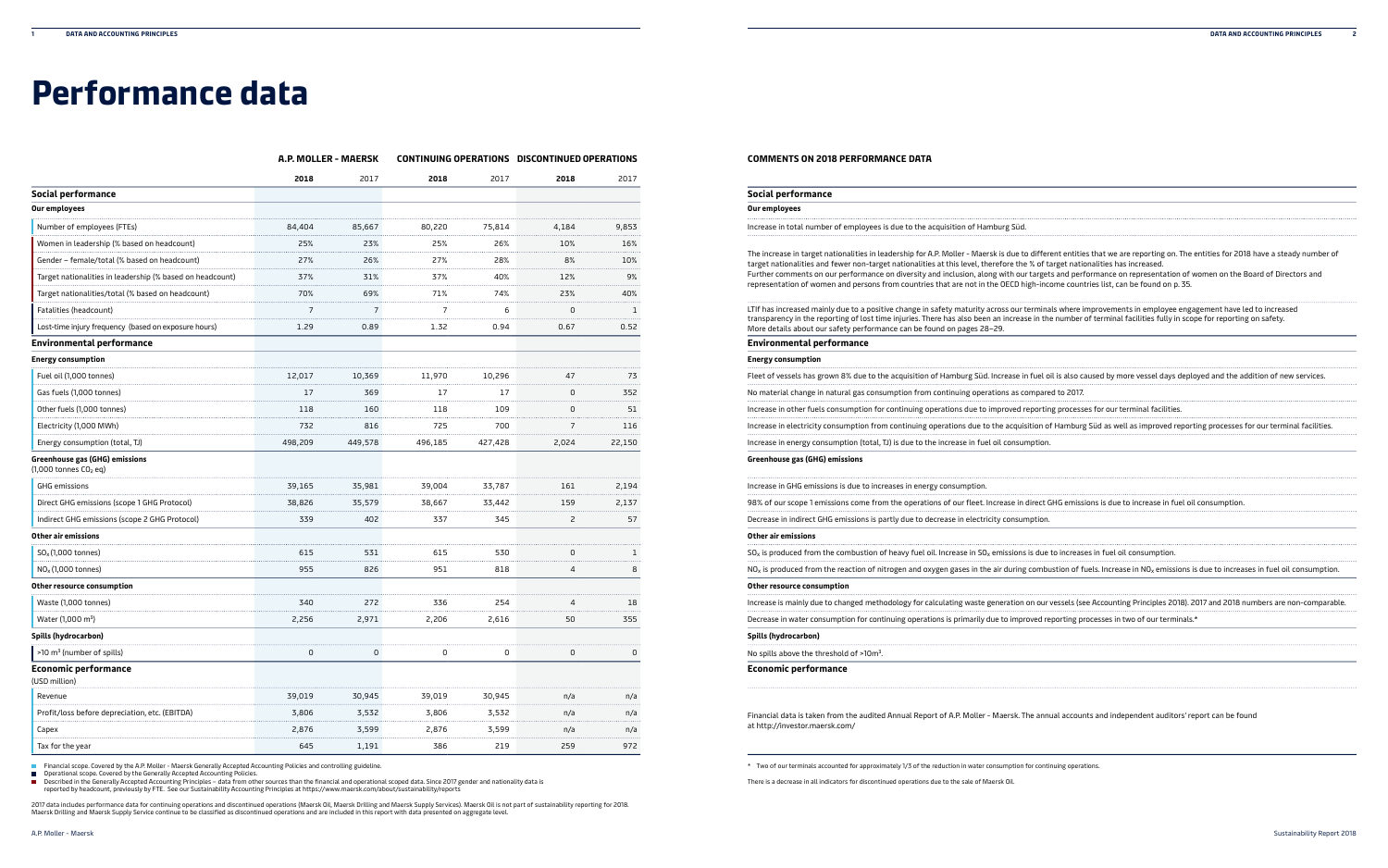# **Performance data**

### **COMMENTS ON 2018 PERFORMANCE DATA**

| Social performance                                                              |  |
|---------------------------------------------------------------------------------|--|
| Our employees                                                                   |  |
| Increase in total number of employees is due to the acquisition of Hamburg Süd. |  |

## **Energy consumption**

| Fleet of vessels has grown 8% due to the acquisition of Hamburg Süd. Increase in fuel oil is also caused by more vessel days d |
|--------------------------------------------------------------------------------------------------------------------------------|
| No material change in natural gas consumption from continuing operations as compared to 2017.                                  |
| Increase in other fuels consumption for continuing operations due to improved reporting processes for our terminal facilities. |
| Increase in electricity consumption from continuing operations due to the acquisition of Hamburg Süd as well as improved re    |
| Increase in energy consumption (total, TJ) is due to the increase in fuel oil consumption.                                     |

#### **Greenhouse gas (GHG) emissions**

| Social performance                                                                                                                                                                                                                                                                                                                                                                                                                                                                                                                                                                                                     |
|------------------------------------------------------------------------------------------------------------------------------------------------------------------------------------------------------------------------------------------------------------------------------------------------------------------------------------------------------------------------------------------------------------------------------------------------------------------------------------------------------------------------------------------------------------------------------------------------------------------------|
| Our employees                                                                                                                                                                                                                                                                                                                                                                                                                                                                                                                                                                                                          |
| Increase in total number of employees is due to the acquisition of Hamburg Süd.                                                                                                                                                                                                                                                                                                                                                                                                                                                                                                                                        |
| The increase in target nationalities in leadership for A.P. Moller - Maersk is due to different entities that we are reporting on. The entities for 2018 have a steady number of<br>target nationalities and fewer non-target nationalities at this level, therefore the % of target nationalities has increased.<br>Further comments on our performance on diversity and inclusion, along with our targets and performance on representation of women on the Board of Directors and<br>representation of women and persons from countries that are not in the OECD high-income countries list, can be found on p. 35. |
| LTIf has increased mainly due to a positive change in safety maturity across our terminals where improvements in employee engagement have led to increased<br>transparency in the reporting of lost time injuries. There has also been an increase in the number of terminal facilities fully in scope for reporting on safety.<br>More details about our safety performance can be found on pages 28-29.                                                                                                                                                                                                              |
| Environmental performance                                                                                                                                                                                                                                                                                                                                                                                                                                                                                                                                                                                              |
| <b>Energy consumption</b>                                                                                                                                                                                                                                                                                                                                                                                                                                                                                                                                                                                              |
| Fleet of vessels has grown 8% due to the acquisition of Hamburg Süd. Increase in fuel oil is also caused by more vessel days deployed and the addition of new services.                                                                                                                                                                                                                                                                                                                                                                                                                                                |
| No material change in natural gas consumption from continuing operations as compared to 2017.                                                                                                                                                                                                                                                                                                                                                                                                                                                                                                                          |
| Increase in other fuels consumption for continuing operations due to improved reporting processes for our terminal facilities.                                                                                                                                                                                                                                                                                                                                                                                                                                                                                         |
| Increase in electricity consumption from continuing operations due to the acquisition of Hamburg Süd as well as improved reporting processes for our terminal facilities.                                                                                                                                                                                                                                                                                                                                                                                                                                              |
| Increase in energy consumption (total, TJ) is due to the increase in fuel oil consumption.                                                                                                                                                                                                                                                                                                                                                                                                                                                                                                                             |
| Greenhouse gas (GHG) emissions                                                                                                                                                                                                                                                                                                                                                                                                                                                                                                                                                                                         |
| Increase in GHG emissions is due to increases in energy consumption.                                                                                                                                                                                                                                                                                                                                                                                                                                                                                                                                                   |
| 98% of our scope 1 emissions come from the operations of our fleet. Increase in direct GHG emissions is due to increase in fuel oil consumption.                                                                                                                                                                                                                                                                                                                                                                                                                                                                       |
| Decrease in indirect GHG emissions is partly due to decrease in electricity consumption.                                                                                                                                                                                                                                                                                                                                                                                                                                                                                                                               |
| Other air emissions                                                                                                                                                                                                                                                                                                                                                                                                                                                                                                                                                                                                    |
| $SOx$ is produced from the combustion of heavy fuel oil. Increase in $SOx$ emissions is due to increases in fuel oil consumption.                                                                                                                                                                                                                                                                                                                                                                                                                                                                                      |
| NO <sub>x</sub> is produced from the reaction of nitrogen and oxygen gases in the air during combustion of fuels. Increase in NO <sub>x</sub> emissions is due to increases in fuel oil consumption.                                                                                                                                                                                                                                                                                                                                                                                                                   |
| Other resource consumption                                                                                                                                                                                                                                                                                                                                                                                                                                                                                                                                                                                             |
| Increase is mainly due to changed methodology for calculating waste generation on our vessels (see Accounting Principles 2018). 2017 and 2018 numbers are non-comparable.                                                                                                                                                                                                                                                                                                                                                                                                                                              |
| Decrease in water consumption for continuing operations is primarily due to improved reporting processes in two of our terminals.*                                                                                                                                                                                                                                                                                                                                                                                                                                                                                     |
| Spills (hydrocarbon)                                                                                                                                                                                                                                                                                                                                                                                                                                                                                                                                                                                                   |
| No spills above the threshold of >10m <sup>3</sup> .                                                                                                                                                                                                                                                                                                                                                                                                                                                                                                                                                                   |
| <b>Economic performance</b>                                                                                                                                                                                                                                                                                                                                                                                                                                                                                                                                                                                            |
| Financial data is taken from the audited Annual Report of A.P. Moller - Maersk. The annual accounts and independent auditors' report can be found<br>at http://investor.maersk.com/                                                                                                                                                                                                                                                                                                                                                                                                                                    |

| Increase in GHG emissions is due to increases in energy consumption.                                                                             |
|--------------------------------------------------------------------------------------------------------------------------------------------------|
| 98% of our scope 1 emissions come from the operations of our fleet. Increase in direct GHG emissions is due to increase in fuel oil consumption. |
| Decrease in indirect GHG emissions is partly due to decrease in electricity consumption.                                                         |

#### **Other air emissions**

#### **Other resource consumption**

∣ Operational scope. Covered by the Generally Accepted Accounting Policies.<br>∣ Described in the Generally Accepted Accounting Principles – data from other sources than the financial and operational scoped data. Since 2017 reported by headcount, previously by FTE. See our Sustainability Accounting Principles at <https://www.maersk.com/about/sustainability/reports>

2017 data includes performance data for continuing operations and discontinued operations (Maersk Oilling and Maersk Supply Services). Maersk Oil is not part of sustainability reporting for 2018.<br>Maersk Drilling and Maersk

| Increase is mainly due to changed methodology for calculating waste generation on our vessels (see Accounting Principles 2018). 20 |
|------------------------------------------------------------------------------------------------------------------------------------|
| Decrease in water consumption for continuing operations is primarily due to improved reporting processes in two of our terminals.* |

#### **A.P. MOLLER - MAERSK CONTINUING OPERATIONS DISCONTINUED OPERATIONS**

|                                                             | .LIN = IVI     |                |                |         |       |        |
|-------------------------------------------------------------|----------------|----------------|----------------|---------|-------|--------|
|                                                             | 2018           | 2017           | 2018           | 2017    | 2018  | 2017   |
| Social performance                                          |                |                |                |         |       |        |
| Our employees                                               |                |                |                |         |       |        |
| Number of employees (FTEs)                                  | 84,404         | 85,667         | 80,220         | 75,814  | 4,184 | 9,853  |
| Women in leadership (% based on headcount)                  | 25%            | 23%            | 25%            | 26%     | 10%   | 16%    |
| Gender - female/total (% based on headcount)                | 27%            | 26%            | 27%            | 28%     | 8%    | 10%    |
| Target nationalities in leadership (% based on headcount)   | 37%            | 31%            | 37%            | 40%     | 12%   | 9%     |
| Target nationalities/total (% based on headcount)           | 70%            | 69%            | 71%            | 74%     | 23%   | 40%    |
| Fatalities (headcount)                                      | $\overline{7}$ | $\overline{7}$ | $\overline{7}$ | 6       | 0     | 1      |
| Lost-time injury frequency (based on exposure hours)        | 1.29           | 0.89           | 1.32           | 0.94    | 0.67  | 0.52   |
| <b>Environmental performance</b>                            |                |                |                |         |       |        |
| <b>Energy consumption</b>                                   |                |                |                |         |       |        |
| Fuel oil (1,000 tonnes)                                     | 12,017         | 10,369         | 11,970         | 10,296  | 47    | 73     |
| Gas fuels (1,000 tonnes)                                    | 17             | 369            | 17             | 17      | 0     | 352    |
| Other fuels (1,000 tonnes)                                  | 118            | 160            | 118            | 109     | 0     | 51     |
| Electricity (1,000 MWh)                                     | 732            | 816            | 725            | 700     | 7     | 116    |
| Energy consumption (total, TJ)                              | 498,209        | 449,578        | 496,185        | 427,428 | 2,024 | 22,150 |
| Greenhouse gas (GHG) emissions<br>$(1,000$ tonnes $CO2$ eg) |                |                |                |         |       |        |
| <b>GHG emissions</b>                                        | 39,165         | 35,981         | 39,004         | 33,787  | 161   | 2,194  |
| Direct GHG emissions (scope 1 GHG Protocol)                 | 38,826         | 35,579         | 38,667         | 33,442  | 159   | 2,137  |
| Indirect GHG emissions (scope 2 GHG Protocol)               | 339            | 402            | 337            | 345     | 2     | 57     |
| Other air emissions                                         |                |                |                |         |       |        |
| $SOx$ (1,000 tonnes)                                        | 615            | 531            | 615            | 530     | 0     | 1      |
| $NOx$ (1,000 tonnes)                                        | 955            | 826            | 951            | 818     | 4     | 8      |
| Other resource consumption                                  |                |                |                |         |       |        |
| Waste (1,000 tonnes)                                        | 340            | 272            | 336            | 254     | 4     | 18     |
| Water (1,000 m <sup>3</sup> )                               | 2,256          | 2,971          | 2,206          | 2,616   | 50    | 355    |
| Spills (hydrocarbon)                                        |                |                |                |         |       |        |
| >10 m <sup>3</sup> (number of spills)                       | $\mathbf 0$    | 0              | 0              | 0       | 0     | 0      |
| <b>Economic performance</b><br>(USD million)                |                |                |                |         |       |        |
| Revenue                                                     | 39,019         | 30,945         | 39,019         | 30,945  | n/a   | n/a    |
| Profit/loss before depreciation, etc. (EBITDA)              | 3,806          | 3,532          | 3,806          | 3,532   | n/a   | n/a    |
| Capex                                                       | 2,876          | 3,599          | 2,876          | 3,599   | n/a   | n/a    |
| Tax for the year                                            | 645            | 1,191          | 386            | 219     | 259   | 972    |

Financial scope. Covered by the A.P. Moller - Maersk Generally Accepted Accounting Policies and controlling guideline.

\* Two of our terminals accounted for approximately 1/3 of the reduction in water consumption for continuing operations.

There is a decrease in all indicators for discontinued operations due to the sale of Maersk Oil.